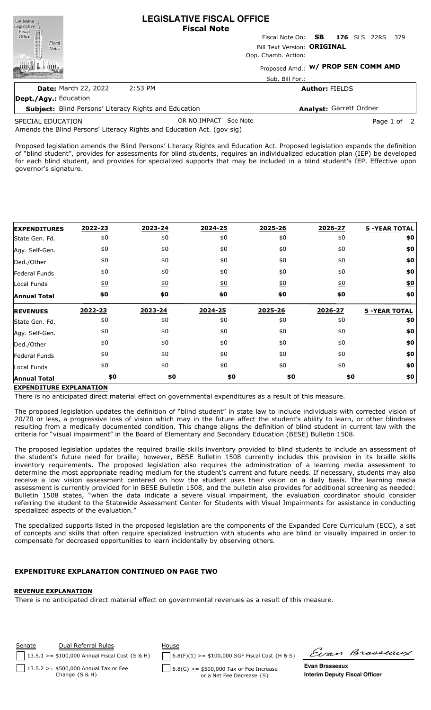| Louisiana                                                    | <b>LEGISLATIVE FISCAL OFFICE</b><br><b>Fiscal Note</b> |                         |                                            |  |  |
|--------------------------------------------------------------|--------------------------------------------------------|-------------------------|--------------------------------------------|--|--|
|                                                              |                                                        |                         | Fiscal Note On: <b>SB</b> 176 SLS 22RS 379 |  |  |
| Legislative<br>Fiscal<br>Office<br>Fiscal<br><b>Notes</b>    | Bill Text Version: ORIGINAL<br>Opp. Chamb. Action:     |                         |                                            |  |  |
|                                                              |                                                        |                         |                                            |  |  |
|                                                              | Sub. Bill For.:                                        |                         |                                            |  |  |
|                                                              | <b>Date: March 22, 2022</b>                            | 2:53 PM                 | <b>Author: FIELDS</b>                      |  |  |
| Dept./Agy.: Education                                        |                                                        |                         |                                            |  |  |
| <b>Subject:</b> Blind Persons' Literacy Rights and Education |                                                        | Analyst: Garrett Ordner |                                            |  |  |

Amends the Blind Persons' Literacy Rights and Education Act. (gov sig) SPECIAL EDUCATION OR NO IMPACT See Note **Page 1 of 2** 

Proposed legislation amends the Blind Persons' Literacy Rights and Education Act. Proposed legislation expands the definition of "blind student", provides for assessments for blind students, requires an individualized education plan (IEP) be developed for each blind student, and provides for specialized supports that may be included in a blind student's IEP. Effective upon governor's signature.

| <b>EXPENDITURES</b> | 2022-23          | 2023-24          | 2024-25          | 2025-26          | 2026-27          | <b>5 -YEAR TOTAL</b> |
|---------------------|------------------|------------------|------------------|------------------|------------------|----------------------|
| State Gen. Fd.      | \$0              | \$0              | \$0              | \$0              | \$0              | \$0                  |
| Agy. Self-Gen.      | \$0              | \$0              | \$0              | \$0              | \$0              | \$0                  |
| Ded./Other          | \$0              | \$0              | \$0              | \$0              | \$0              | \$0                  |
| Federal Funds       | \$0              | \$0              | \$0              | \$0              | \$0              | \$0                  |
| Local Funds         | $\underline{50}$ | $\underline{40}$ | $\underline{50}$ | $\underline{40}$ | $\underline{50}$ | \$0                  |
| <b>Annual Total</b> | \$0              | \$0              | \$0              | \$0              | \$0              | \$0                  |
|                     |                  |                  |                  |                  |                  |                      |
| <b>REVENUES</b>     | 2022-23          | 2023-24          | 2024-25          | 2025-26          | 2026-27          | <b>5 -YEAR TOTAL</b> |
| State Gen. Fd.      | \$0              | \$0              | \$0              | \$0              | \$0              | \$0                  |
| Agy. Self-Gen.      | \$0              | \$0              | \$0              | \$0              | \$0              | \$0                  |
| Ded./Other          | \$0              | \$0              | \$0              | \$0              | \$0              | \$0                  |
| Federal Funds       | \$0              | \$0              | \$0              | \$0              | \$0              | \$0                  |
| Local Funds         | $\underline{50}$ | $\underline{40}$ | $\underline{40}$ | $\underline{50}$ | $\underline{50}$ | <u>\$0</u>           |

# **EXPENDITURE EXPLANATION**

There is no anticipated direct material effect on governmental expenditures as a result of this measure.

The proposed legislation updates the definition of "blind student" in state law to include individuals with corrected vision of 20/70 or less, a progressive loss of vision which may in the future affect the student's ability to learn, or other blindness resulting from a medically documented condition. This change aligns the definition of blind student in current law with the criteria for "visual impairment" in the Board of Elementary and Secondary Education (BESE) Bulletin 1508.

The proposed legislation updates the required braille skills inventory provided to blind students to include an assessment of the student's future need for braille; however, BESE Bulletin 1508 currently includes this provision in its braille skills inventory requirements. The proposed legislation also requires the administration of a learning media assessment to determine the most appropriate reading medium for the student's current and future needs. If necessary, students may also receive a low vision assessment centered on how the student uses their vision on a daily basis. The learning media assessment is currently provided for in BESE Bulletin 1508, and the bulletin also provides for additional screening as needed: Bulletin 1508 states, "when the data indicate a severe visual impairment, the evaluation coordinator should consider referring the student to the Statewide Assessment Center for Students with Visual Impairments for assistance in conducting specialized aspects of the evaluation."

The specialized supports listed in the proposed legislation are the components of the Expanded Core Curriculum (ECC), a set of concepts and skills that often require specialized instruction with students who are blind or visually impaired in order to compensate for decreased opportunities to learn incidentally by observing others.

# KPENDITURE EXPLANATION CO

#### **REVENUE EXPLANATION**

There is no anticipated direct material effect on governmental revenues as a result of this measure.